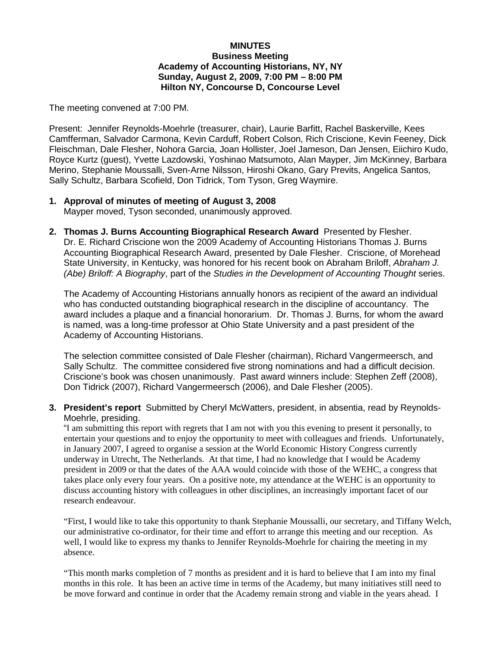### **MINUTES Business Meeting Academy of Accounting Historians, NY, NY Sunday, August 2, 2009, 7:00 PM – 8:00 PM Hilton NY, Concourse D, Concourse Level**

The meeting convened at 7:00 PM.

Present: Jennifer Reynolds-Moehrle (treasurer, chair), Laurie Barfitt, Rachel Baskerville, Kees Camfferman, Salvador Carmona, Kevin Carduff, Robert Colson, Rich Criscione, Kevin Feeney, Dick Fleischman, Dale Flesher, Nohora Garcia, Joan Hollister, Joel Jameson, Dan Jensen, Eiichiro Kudo, Royce Kurtz (guest), Yvette Lazdowski, Yoshinao Matsumoto, Alan Mayper, Jim McKinney, Barbara Merino, Stephanie Moussalli, Sven-Arne Nilsson, Hiroshi Okano, Gary Previts, Angelica Santos, Sally Schultz, Barbara Scofield, Don Tidrick, Tom Tyson, Greg Waymire.

- **1. Approval of minutes of meeting of August 3, 2008** Mayper moved, Tyson seconded, unanimously approved.
- **2. Thomas J. Burns Accounting Biographical Research Award** Presented by Flesher. Dr. E. Richard Criscione won the 2009 Academy of Accounting Historians Thomas J. Burns Accounting Biographical Research Award, presented by Dale Flesher. Criscione, of Morehead State University, in Kentucky, was honored for his recent book on Abraham Briloff, *Abraham J. (Abe) Briloff: A Biography*, part of the *Studies in the Development of Accounting Thought* series.

The Academy of Accounting Historians annually honors as recipient of the award an individual who has conducted outstanding biographical research in the discipline of accountancy. The award includes a plaque and a financial honorarium. Dr. Thomas J. Burns, for whom the award is named, was a long-time professor at Ohio State University and a past president of the Academy of Accounting Historians.

The selection committee consisted of Dale Flesher (chairman), Richard Vangermeersch, and Sally Schultz. The committee considered five strong nominations and had a difficult decision. Criscione's book was chosen unanimously. Past award winners include: Stephen Zeff (2008), Don Tidrick (2007), Richard Vangermeersch (2006), and Dale Flesher (2005).

**3. President's report** Submitted by Cheryl McWatters, president, in absentia, read by Reynolds-Moehrle, presiding.

"I am submitting this report with regrets that I am not with you this evening to present it personally, to entertain your questions and to enjoy the opportunity to meet with colleagues and friends. Unfortunately, in January 2007, I agreed to organise a session at the World Economic History Congress currently underway in Utrecht, The Netherlands. At that time, I had no knowledge that I would be Academy president in 2009 or that the dates of the AAA would coincide with those of the WEHC, a congress that takes place only every four years. On a positive note, my attendance at the WEHC is an opportunity to discuss accounting history with colleagues in other disciplines, an increasingly important facet of our research endeavour.

"First, I would like to take this opportunity to thank Stephanie Moussalli, our secretary, and Tiffany Welch, our administrative co-ordinator, for their time and effort to arrange this meeting and our reception. As well, I would like to express my thanks to Jennifer Reynolds-Moehrle for chairing the meeting in my absence.

"This month marks completion of 7 months as president and it is hard to believe that I am into my final months in this role. It has been an active time in terms of the Academy, but many initiatives still need to be move forward and continue in order that the Academy remain strong and viable in the years ahead. I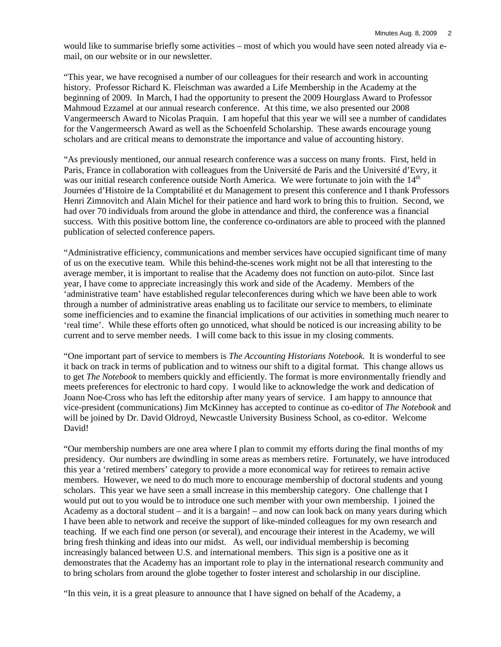would like to summarise briefly some activities – most of which you would have seen noted already via email, on our website or in our newsletter.

"This year, we have recognised a number of our colleagues for their research and work in accounting history. Professor Richard K. Fleischman was awarded a Life Membership in the Academy at the beginning of 2009. In March, I had the opportunity to present the 2009 Hourglass Award to Professor Mahmoud Ezzamel at our annual research conference. At this time, we also presented our 2008 Vangermeersch Award to Nicolas Praquin. I am hopeful that this year we will see a number of candidates for the Vangermeersch Award as well as the Schoenfeld Scholarship. These awards encourage young scholars and are critical means to demonstrate the importance and value of accounting history.

"As previously mentioned, our annual research conference was a success on many fronts. First, held in Paris, France in collaboration with colleagues from the Université de Paris and the Université d'Evry, it was our initial research conference outside North America. We were fortunate to join with the 14<sup>th</sup> Journées d'Histoire de la Comptabilité et du Management to present this conference and I thank Professors Henri Zimnovitch and Alain Michel for their patience and hard work to bring this to fruition. Second, we had over 70 individuals from around the globe in attendance and third, the conference was a financial success. With this positive bottom line, the conference co-ordinators are able to proceed with the planned publication of selected conference papers.

"Administrative efficiency, communications and member services have occupied significant time of many of us on the executive team. While this behind-the-scenes work might not be all that interesting to the average member, it is important to realise that the Academy does not function on auto-pilot. Since last year, I have come to appreciate increasingly this work and side of the Academy. Members of the 'administrative team' have established regular teleconferences during which we have been able to work through a number of administrative areas enabling us to facilitate our service to members, to eliminate some inefficiencies and to examine the financial implications of our activities in something much nearer to 'real time'. While these efforts often go unnoticed, what should be noticed is our increasing ability to be current and to serve member needs. I will come back to this issue in my closing comments.

"One important part of service to members is *The Accounting Historians Notebook*. It is wonderful to see it back on track in terms of publication and to witness our shift to a digital format. This change allows us to get *The Notebook* to members quickly and efficiently. The format is more environmentally friendly and meets preferences for electronic to hard copy. I would like to acknowledge the work and dedication of Joann Noe-Cross who has left the editorship after many years of service. I am happy to announce that vice-president (communications) Jim McKinney has accepted to continue as co-editor of *The Notebook* and will be joined by Dr. David Oldroyd, Newcastle University Business School, as co-editor. Welcome David!

"Our membership numbers are one area where I plan to commit my efforts during the final months of my presidency. Our numbers are dwindling in some areas as members retire. Fortunately, we have introduced this year a 'retired members' category to provide a more economical way for retirees to remain active members. However, we need to do much more to encourage membership of doctoral students and young scholars. This year we have seen a small increase in this membership category. One challenge that I would put out to you would be to introduce one such member with your own membership. I joined the Academy as a doctoral student – and it is a bargain! – and now can look back on many years during which I have been able to network and receive the support of like-minded colleagues for my own research and teaching. If we each find one person (or several), and encourage their interest in the Academy, we will bring fresh thinking and ideas into our midst. As well, our individual membership is becoming increasingly balanced between U.S. and international members. This sign is a positive one as it demonstrates that the Academy has an important role to play in the international research community and to bring scholars from around the globe together to foster interest and scholarship in our discipline.

"In this vein, it is a great pleasure to announce that I have signed on behalf of the Academy, a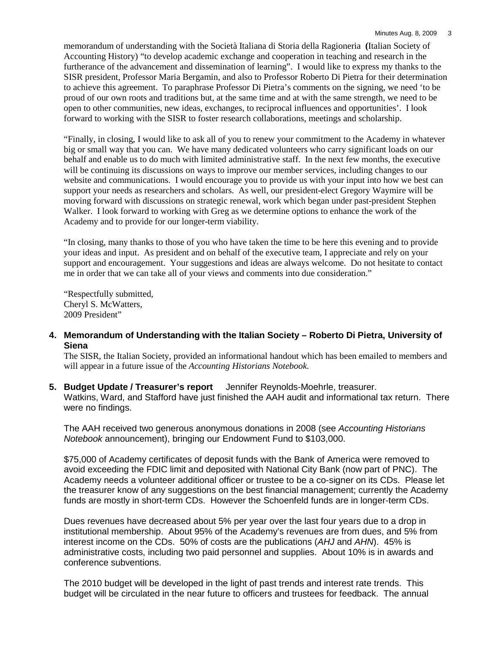memorandum of understanding with the Società Italiana di Storia della Ragioneria **(**Italian Society of Accounting History) "to develop academic exchange and cooperation in teaching and research in the furtherance of the advancement and dissemination of learning". I would like to express my thanks to the SISR president, Professor Maria Bergamin, and also to Professor Roberto Di Pietra for their determination to achieve this agreement. To paraphrase Professor Di Pietra's comments on the signing, we need 'to be proud of our own roots and traditions but, at the same time and at with the same strength, we need to be open to other communities, new ideas, exchanges, to reciprocal influences and opportunities'. I look forward to working with the SISR to foster research collaborations, meetings and scholarship.

"Finally, in closing, I would like to ask all of you to renew your commitment to the Academy in whatever big or small way that you can. We have many dedicated volunteers who carry significant loads on our behalf and enable us to do much with limited administrative staff. In the next few months, the executive will be continuing its discussions on ways to improve our member services, including changes to our website and communications. I would encourage you to provide us with your input into how we best can support your needs as researchers and scholars. As well, our president-elect Gregory Waymire will be moving forward with discussions on strategic renewal, work which began under past-president Stephen Walker. I look forward to working with Greg as we determine options to enhance the work of the Academy and to provide for our longer-term viability.

"In closing, many thanks to those of you who have taken the time to be here this evening and to provide your ideas and input. As president and on behalf of the executive team, I appreciate and rely on your support and encouragement. Your suggestions and ideas are always welcome. Do not hesitate to contact me in order that we can take all of your views and comments into due consideration."

"Respectfully submitted, Cheryl S. McWatters, 2009 President"

**4. Memorandum of Understanding with the Italian Society – Roberto Di Pietra, University of Siena**

The SISR, the Italian Society, provided an informational handout which has been emailed to members and will appear in a future issue of the *Accounting Historians Notebook*.

**5. Budget Update / Treasurer's report** Jennifer Reynolds-Moehrle, treasurer. Watkins, Ward, and Stafford have just finished the AAH audit and informational tax return. There were no findings.

The AAH received two generous anonymous donations in 2008 (see *Accounting Historians Notebook* announcement), bringing our Endowment Fund to \$103,000.

\$75,000 of Academy certificates of deposit funds with the Bank of America were removed to avoid exceeding the FDIC limit and deposited with National City Bank (now part of PNC). The Academy needs a volunteer additional officer or trustee to be a co-signer on its CDs. Please let the treasurer know of any suggestions on the best financial management; currently the Academy funds are mostly in short-term CDs. However the Schoenfeld funds are in longer-term CDs.

Dues revenues have decreased about 5% per year over the last four years due to a drop in institutional membership. About 95% of the Academy's revenues are from dues, and 5% from interest income on the CDs. 50% of costs are the publications (*AHJ* and *AHN*). 45% is administrative costs, including two paid personnel and supplies. About 10% is in awards and conference subventions.

The 2010 budget will be developed in the light of past trends and interest rate trends. This budget will be circulated in the near future to officers and trustees for feedback. The annual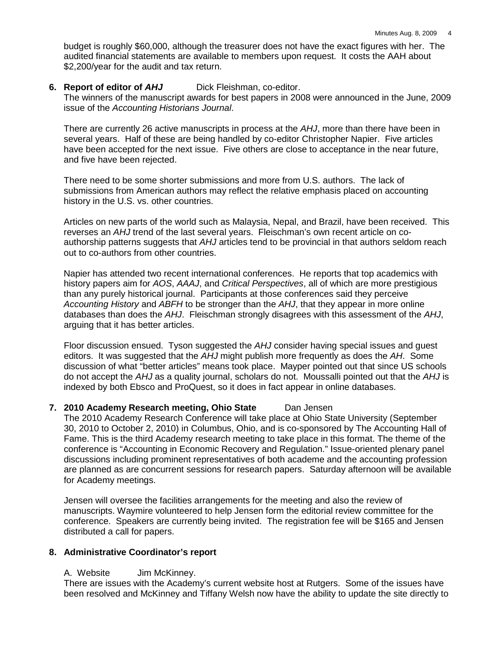budget is roughly \$60,000, although the treasurer does not have the exact figures with her. The audited financial statements are available to members upon request. It costs the AAH about \$2,200/year for the audit and tax return.

# **6. Report of editor of** *AHJ* Dick Fleishman, co-editor.

The winners of the manuscript awards for best papers in 2008 were announced in the June, 2009 issue of the *Accounting Historians Journal*.

There are currently 26 active manuscripts in process at the *AHJ*, more than there have been in several years. Half of these are being handled by co-editor Christopher Napier. Five articles have been accepted for the next issue. Five others are close to acceptance in the near future, and five have been rejected.

There need to be some shorter submissions and more from U.S. authors. The lack of submissions from American authors may reflect the relative emphasis placed on accounting history in the U.S. vs. other countries.

Articles on new parts of the world such as Malaysia, Nepal, and Brazil, have been received. This reverses an *AHJ* trend of the last several years. Fleischman's own recent article on coauthorship patterns suggests that *AHJ* articles tend to be provincial in that authors seldom reach out to co-authors from other countries.

Napier has attended two recent international conferences. He reports that top academics with history papers aim for *AOS*, *AAAJ*, and *Critical Perspectives*, all of which are more prestigious than any purely historical journal. Participants at those conferences said they perceive *Accounting History* and *ABFH* to be stronger than the *AHJ*, that they appear in more online databases than does the *AHJ*. Fleischman strongly disagrees with this assessment of the *AHJ*, arguing that it has better articles.

Floor discussion ensued. Tyson suggested the *AHJ* consider having special issues and guest editors. It was suggested that the *AHJ* might publish more frequently as does the *AH*. Some discussion of what "better articles" means took place. Mayper pointed out that since US schools do not accept the *AHJ* as a quality journal, scholars do not. Moussalli pointed out that the *AHJ* is indexed by both Ebsco and ProQuest, so it does in fact appear in online databases.

# **7. 2010 Academy Research meeting, Ohio State** Dan Jensen

The 2010 Academy Research Conference will take place at Ohio State University (September 30, 2010 to October 2, 2010) in Columbus, Ohio, and is co-sponsored by The Accounting Hall of Fame. This is the third Academy research meeting to take place in this format. The theme of the conference is "Accounting in Economic Recovery and Regulation." Issue-oriented plenary panel discussions including prominent representatives of both academe and the accounting profession are planned as are concurrent sessions for research papers. Saturday afternoon will be available for Academy meetings.

Jensen will oversee the facilities arrangements for the meeting and also the review of manuscripts. Waymire volunteered to help Jensen form the editorial review committee for the conference. Speakers are currently being invited. The registration fee will be \$165 and Jensen distributed a call for papers.

# **8. Administrative Coordinator's report**

A. Website Jim McKinney.

There are issues with the Academy's current website host at Rutgers. Some of the issues have been resolved and McKinney and Tiffany Welsh now have the ability to update the site directly to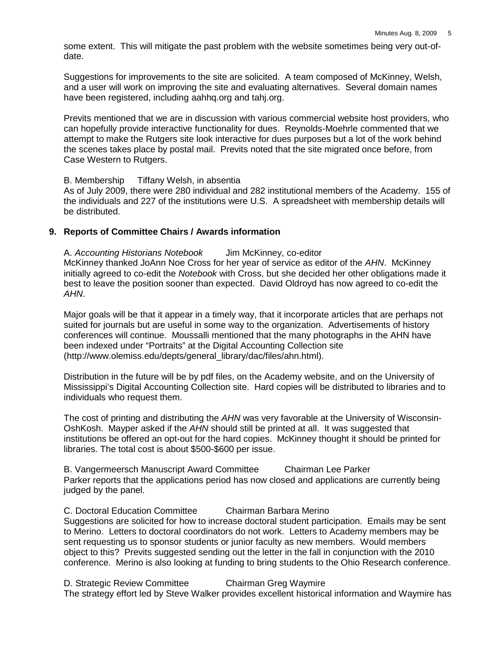some extent. This will mitigate the past problem with the website sometimes being very out-ofdate.

Suggestions for improvements to the site are solicited. A team composed of McKinney, Welsh, and a user will work on improving the site and evaluating alternatives. Several domain names have been registered, including aahhq.org and tahj.org.

Previts mentioned that we are in discussion with various commercial website host providers, who can hopefully provide interactive functionality for dues. Reynolds-Moehrle commented that we attempt to make the Rutgers site look interactive for dues purposes but a lot of the work behind the scenes takes place by postal mail. Previts noted that the site migrated once before, from Case Western to Rutgers.

B. Membership Tiffany Welsh, in absentia

As of July 2009, there were 280 individual and 282 institutional members of the Academy. 155 of the individuals and 227 of the institutions were U.S. A spreadsheet with membership details will be distributed.

### **9. Reports of Committee Chairs / Awards information**

A. *Accounting Historians Notebook* Jim McKinney, co-editor McKinney thanked JoAnn Noe Cross for her year of service as editor of the *AHN*. McKinney initially agreed to co-edit the *Notebook* with Cross, but she decided her other obligations made it best to leave the position sooner than expected. David Oldroyd has now agreed to co-edit the *AHN*.

Major goals will be that it appear in a timely way, that it incorporate articles that are perhaps not suited for journals but are useful in some way to the organization. Advertisements of history conferences will continue. Moussalli mentioned that the many photographs in the AHN have been indexed under "Portraits" at the Digital Accounting Collection site (http://www.olemiss.edu/depts/general\_library/dac/files/ahn.html).

Distribution in the future will be by pdf files, on the Academy website, and on the University of Mississippi's Digital Accounting Collection site. Hard copies will be distributed to libraries and to individuals who request them.

The cost of printing and distributing the *AHN* was very favorable at the University of Wisconsin-OshKosh. Mayper asked if the *AHN* should still be printed at all. It was suggested that institutions be offered an opt-out for the hard copies. McKinney thought it should be printed for libraries. The total cost is about \$500-\$600 per issue.

B. Vangermeersch Manuscript Award Committee Chairman Lee Parker Parker reports that the applications period has now closed and applications are currently being judged by the panel.

C. Doctoral Education Committee Chairman Barbara Merino Suggestions are solicited for how to increase doctoral student participation. Emails may be sent to Merino. Letters to doctoral coordinators do not work. Letters to Academy members may be sent requesting us to sponsor students or junior faculty as new members. Would members object to this? Previts suggested sending out the letter in the fall in conjunction with the 2010 conference. Merino is also looking at funding to bring students to the Ohio Research conference.

D. Strategic Review Committee Chairman Greg Waymire The strategy effort led by Steve Walker provides excellent historical information and Waymire has